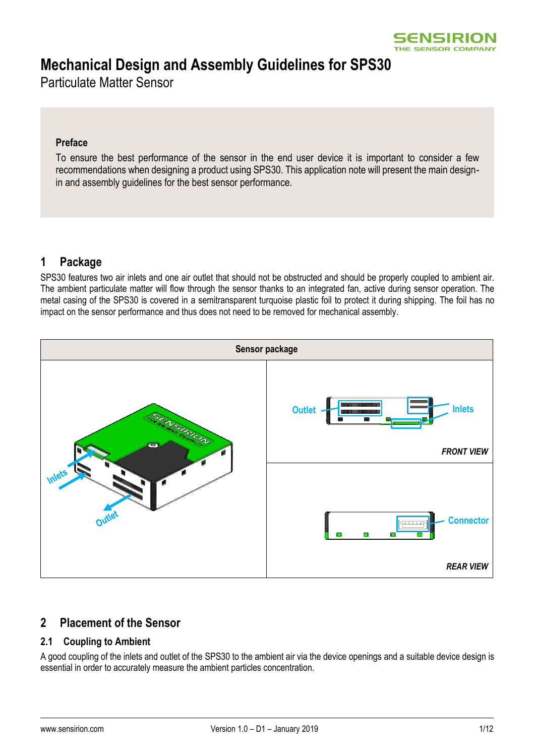

# **Mechanical Design and Assembly Guidelines for SPS30**

Particulate Matter Sensor

#### **Preface**

To ensure the best performance of the sensor in the end user device it is important to consider a few recommendations when designing a product using SPS30. This application note will present the main designin and assembly guidelines for the best sensor performance.

# **1 Package**

SPS30 features two air inlets and one air outlet that should not be obstructed and should be properly coupled to ambient air. The ambient particulate matter will flow through the sensor thanks to an integrated fan, active during sensor operation. The metal casing of the SPS30 is covered in a semitransparent turquoise plastic foil to protect it during shipping. The foil has no impact on the sensor performance and thus does not need to be removed for mechanical assembly.



### **2 Placement of the Sensor**

### **2.1 Coupling to Ambient**

A good coupling of the inlets and outlet of the SPS30 to the ambient air via the device openings and a suitable device design is essential in order to accurately measure the ambient particles concentration.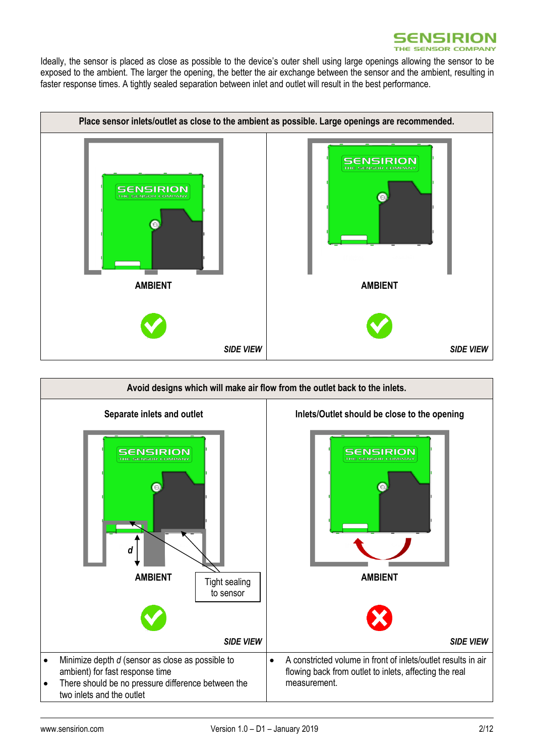

Ideally, the sensor is placed as close as possible to the device's outer shell using large openings allowing the sensor to be exposed to the ambient. The larger the opening, the better the air exchange between the sensor and the ambient, resulting in faster response times. A tightly sealed separation between inlet and outlet will result in the best performance.



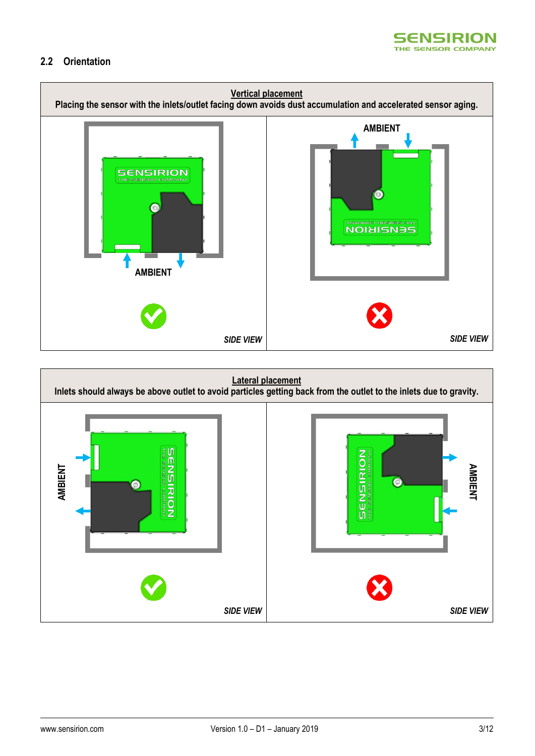

#### **2.2 Orientation**



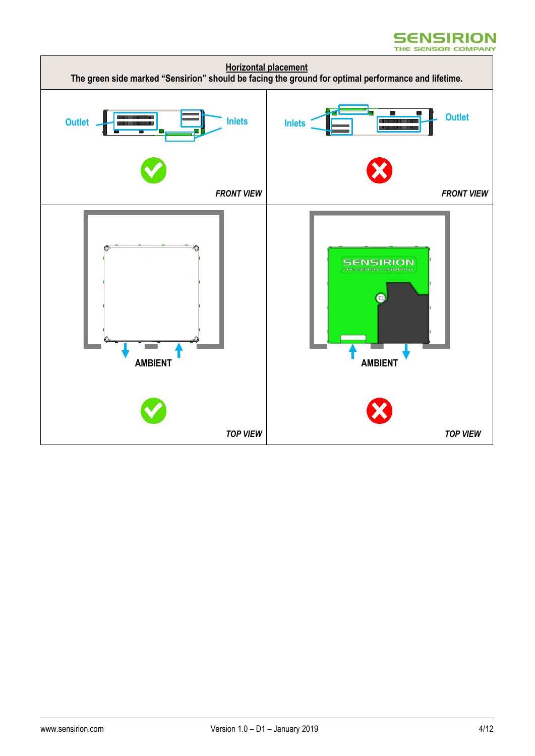#### **SENSIRION** THE SENSOR COMPANY

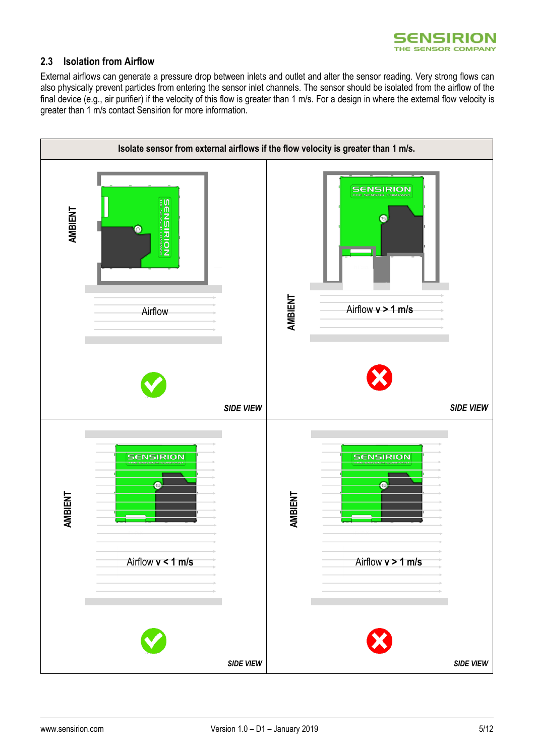

#### **2.3 Isolation from Airflow**

External airflows can generate a pressure drop between inlets and outlet and alter the sensor reading. Very strong flows can also physically prevent particles from entering the sensor inlet channels. The sensor should be isolated from the airflow of the final device (e.g., air purifier) if the velocity of this flow is greater than 1 m/s. For a design in where the external flow velocity is greater than 1 m/s contact Sensirion for more information.

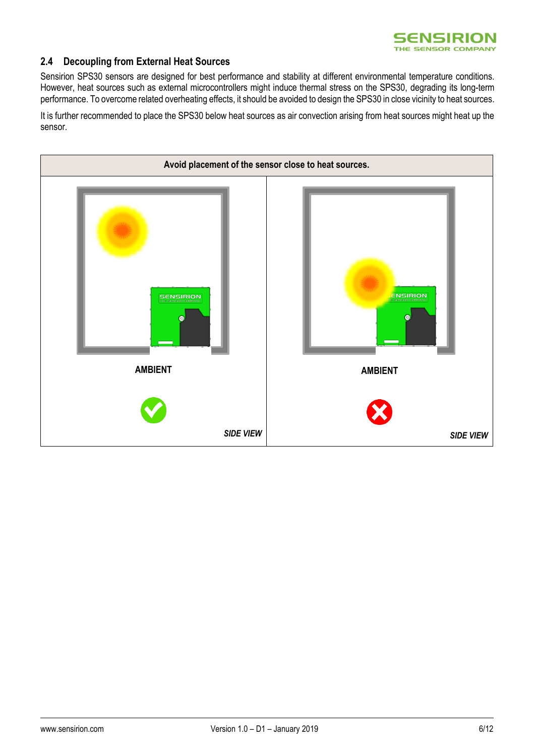

#### **2.4 Decoupling from External Heat Sources**

Sensirion SPS30 sensors are designed for best performance and stability at different environmental temperature conditions. However, heat sources such as external microcontrollers might induce thermal stress on the SPS30, degrading its long-term performance. To overcome related overheating effects, it should be avoided to design the SPS30 in close vicinity to heat sources.

It is further recommended to place the SPS30 below heat sources as air convection arising from heat sources might heat up the sensor.

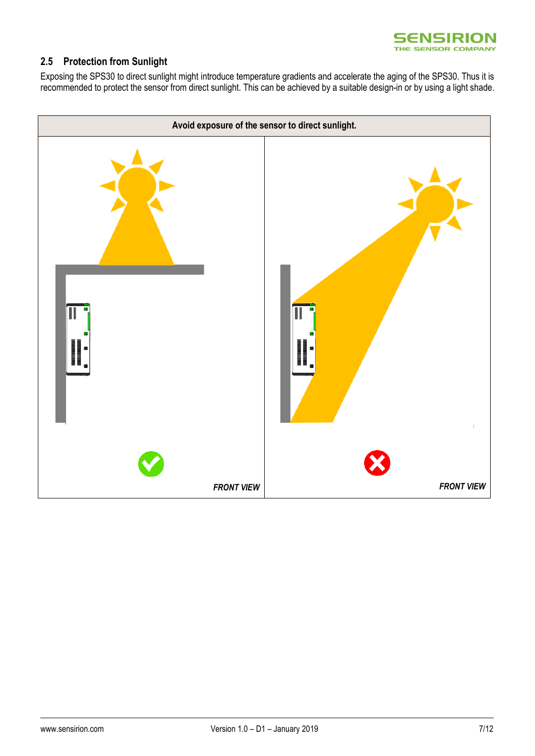

### **2.5 Protection from Sunlight**

Exposing the SPS30 to direct sunlight might introduce temperature gradients and accelerate the aging of the SPS30. Thus it is recommended to protect the sensor from direct sunlight. This can be achieved by a suitable design-in or by using a light shade.

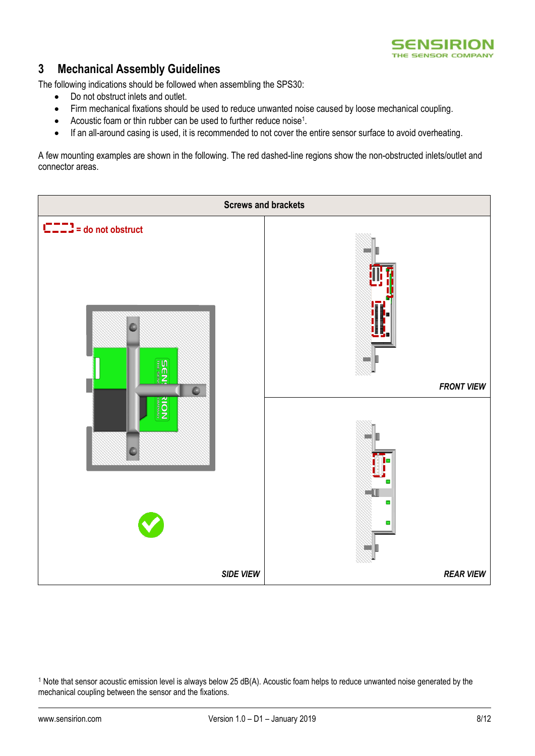

## **3 Mechanical Assembly Guidelines**

The following indications should be followed when assembling the SPS30:

- Do not obstruct inlets and outlet.
- Firm mechanical fixations should be used to reduce unwanted noise caused by loose mechanical coupling.
- Acoustic foam or thin rubber can be used to further reduce noise<sup>1</sup>.
- If an all-around casing is used, it is recommended to not cover the entire sensor surface to avoid overheating.

A few mounting examples are shown in the following. The red dashed-line regions show the non-obstructed inlets/outlet and connector areas.



 $1$  Note that sensor acoustic emission level is always below 25 dB(A). Acoustic foam helps to reduce unwanted noise generated by the mechanical coupling between the sensor and the fixations.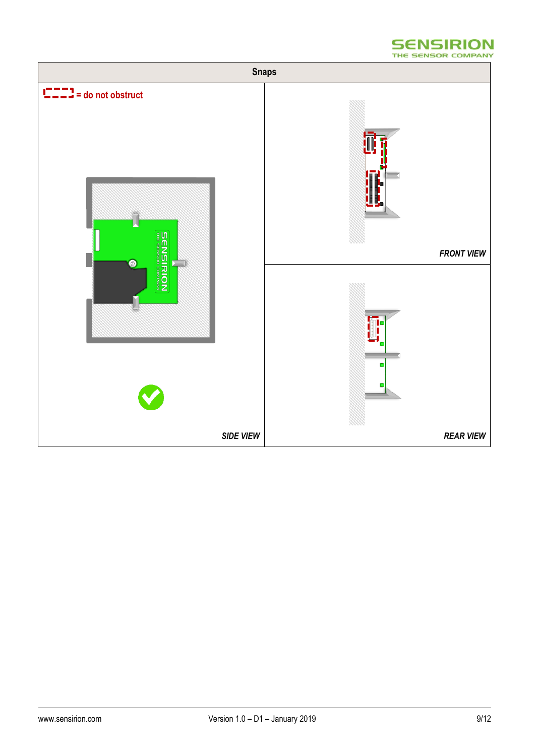

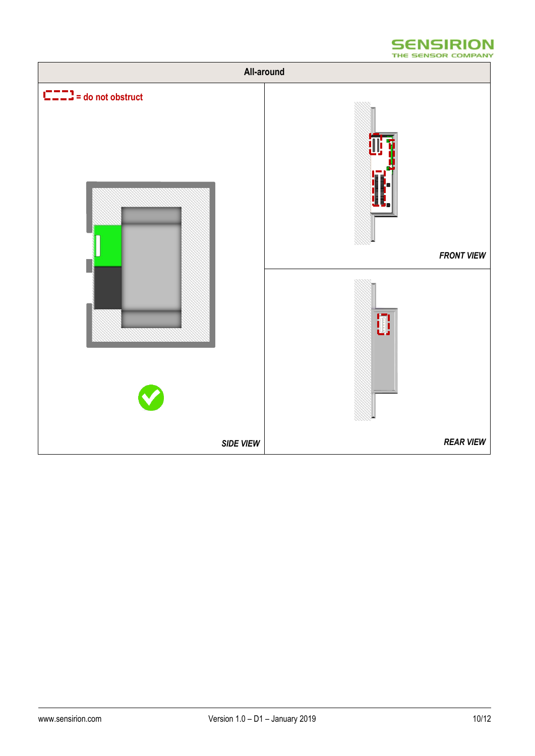

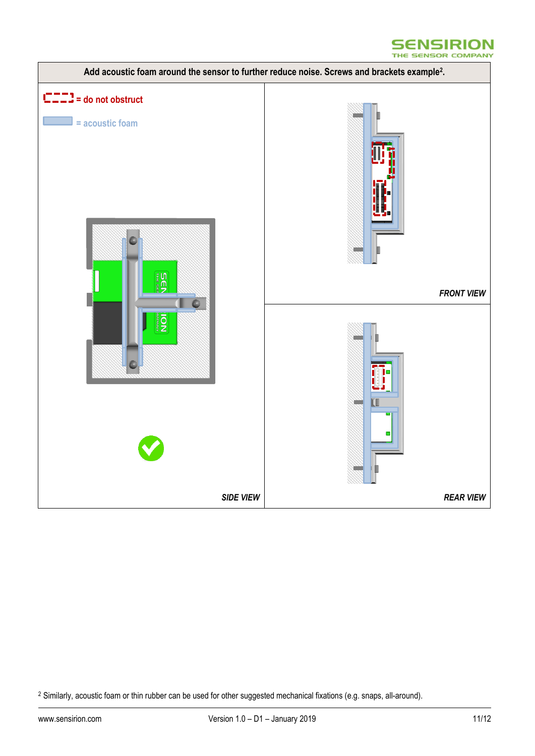



<sup>&</sup>lt;sup>2</sup> Similarly, acoustic foam or thin rubber can be used for other suggested mechanical fixations (e.g. snaps, all-around).